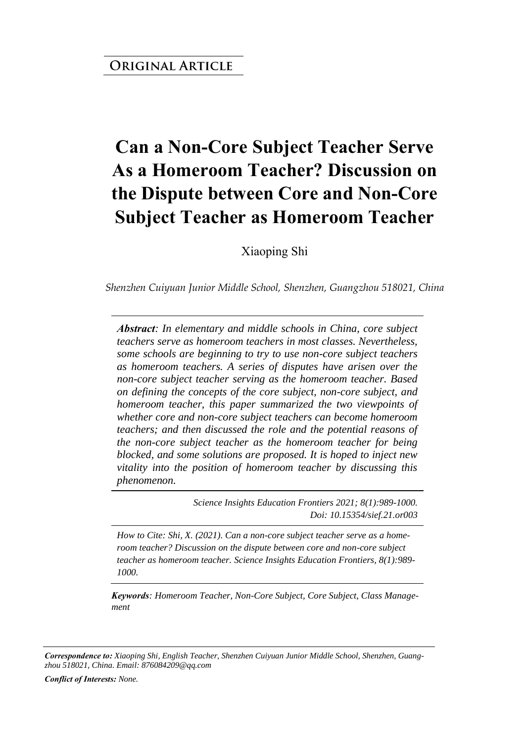# **Can a Non-Core Subject Teacher Serve As a Homeroom Teacher? Discussion on the Dispute between Core and Non-Core Subject Teacher as Homeroom Teacher**

Xiaoping Shi

*Shenzhen Cuiyuan Junior Middle School, Shenzhen, Guangzhou 518021, China* 

*Abstract: In elementary and middle schools in China, core subject teachers serve as homeroom teachers in most classes. Nevertheless, some schools are beginning to try to use non-core subject teachers as homeroom teachers. A series of disputes have arisen over the non-core subject teacher serving as the homeroom teacher. Based on defining the concepts of the core subject, non-core subject, and homeroom teacher, this paper summarized the two viewpoints of whether core and non-core subject teachers can become homeroom teachers; and then discussed the role and the potential reasons of the non-core subject teacher as the homeroom teacher for being blocked, and some solutions are proposed. It is hoped to inject new vitality into the position of homeroom teacher by discussing this phenomenon.*

> *Science Insights Education Frontiers 2021; 8(1):989-1000. Doi: 10.15354/sief.21.or003*

*How to Cite: Shi, X. (2021). Can a non-core subject teacher serve as a homeroom teacher? Discussion on the dispute between core and non-core subject teacher as homeroom teacher. Science Insights Education Frontiers, 8(1):989- 1000.*

*Keywords: Homeroom Teacher, Non-Core Subject, Core Subject, Class Management*

*Correspondence to: Xiaoping Shi, English Teacher, Shenzhen Cuiyuan Junior Middle School, Shenzhen, Guangzhou 518021, China. Email: 876084209@qq.com*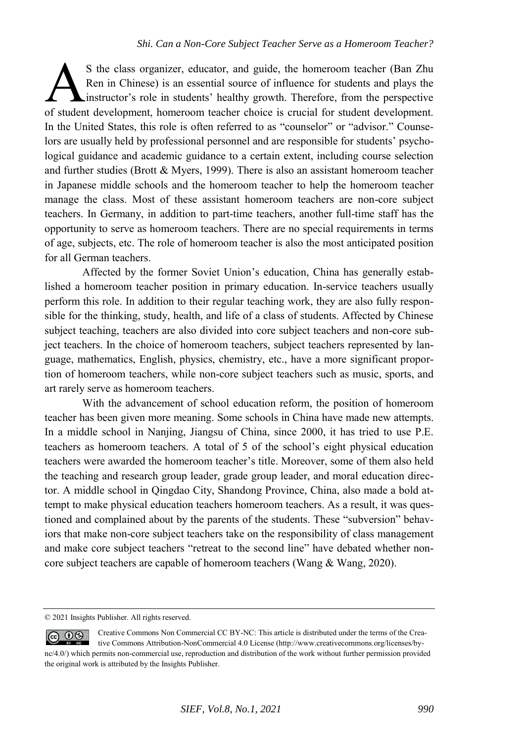S the class organizer, educator, and guide, the homeroom teacher (Ban Zhu Ren in Chinese) is an essential source of influence for students and plays the instructor's role in students' healthy growth. Therefore, from the perspective S the class organizer, educator, and guide, the homeroom teacher (Ban Zhu Ren in Chinese) is an essential source of influence for students and plays the instructor's role in students' healthy growth. Therefore, from the pe In the United States, this role is often referred to as "counselor" or "advisor." Counselors are usually held by professional personnel and are responsible for students' psychological guidance and academic guidance to a certain extent, including course selection and further studies (Brott & Myers, 1999). There is also an assistant homeroom teacher in Japanese middle schools and the homeroom teacher to help the homeroom teacher manage the class. Most of these assistant homeroom teachers are non-core subject teachers. In Germany, in addition to part-time teachers, another full-time staff has the opportunity to serve as homeroom teachers. There are no special requirements in terms of age, subjects, etc. The role of homeroom teacher is also the most anticipated position for all German teachers.

Affected by the former Soviet Union's education, China has generally established a homeroom teacher position in primary education. In-service teachers usually perform this role. In addition to their regular teaching work, they are also fully responsible for the thinking, study, health, and life of a class of students. Affected by Chinese subject teaching, teachers are also divided into core subject teachers and non-core subject teachers. In the choice of homeroom teachers, subject teachers represented by language, mathematics, English, physics, chemistry, etc., have a more significant proportion of homeroom teachers, while non-core subject teachers such as music, sports, and art rarely serve as homeroom teachers.

With the advancement of school education reform, the position of homeroom teacher has been given more meaning. Some schools in China have made new attempts. In a middle school in Nanjing, Jiangsu of China, since 2000, it has tried to use P.E. teachers as homeroom teachers. A total of 5 of the school's eight physical education teachers were awarded the homeroom teacher's title. Moreover, some of them also held the teaching and research group leader, grade group leader, and moral education director. A middle school in Qingdao City, Shandong Province, China, also made a bold attempt to make physical education teachers homeroom teachers. As a result, it was questioned and complained about by the parents of the students. These "subversion" behaviors that make non-core subject teachers take on the responsibility of class management and make core subject teachers "retreat to the second line" have debated whether noncore subject teachers are capable of homeroom teachers (Wang & Wang, 2020).

<sup>© 2021</sup> Insights Publisher. All rights reserved.

Creative Commons Non Commercial CC BY-NC: This article is distributed under the terms of the Crea- $0$ tive Commons Attribution-NonCommercial 4.0 License (http://www.creativecommons.org/licenses/bync/4.0/) which permits non-commercial use, reproduction and distribution of the work without further permission provided the original work is attributed by the Insights Publisher.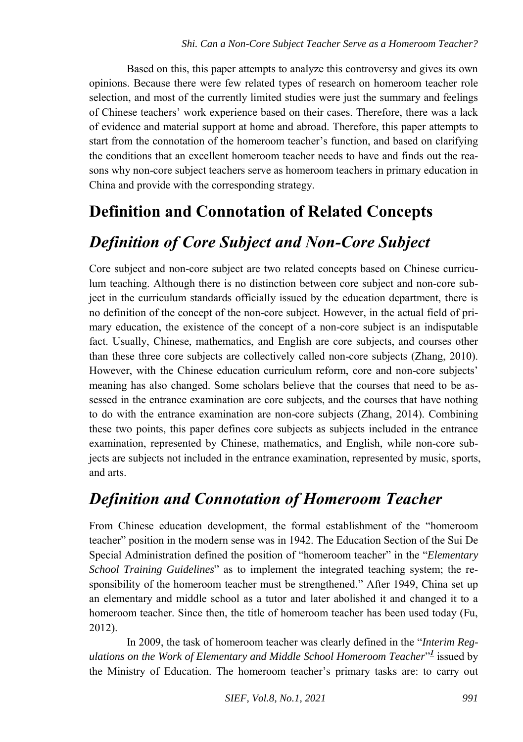Based on this, this paper attempts to analyze this controversy and gives its own opinions. Because there were few related types of research on homeroom teacher role selection, and most of the currently limited studies were just the summary and feelings of Chinese teachers' work experience based on their cases. Therefore, there was a lack of evidence and material support at home and abroad. Therefore, this paper attempts to start from the connotation of the homeroom teacher's function, and based on clarifying the conditions that an excellent homeroom teacher needs to have and finds out the reasons why non-core subject teachers serve as homeroom teachers in primary education in China and provide with the corresponding strategy.

### **Definition and Connotation of Related Concepts**

### *Definition of Core Subject and Non-Core Subject*

Core subject and non-core subject are two related concepts based on Chinese curriculum teaching. Although there is no distinction between core subject and non-core subject in the curriculum standards officially issued by the education department, there is no definition of the concept of the non-core subject. However, in the actual field of primary education, the existence of the concept of a non-core subject is an indisputable fact. Usually, Chinese, mathematics, and English are core subjects, and courses other than these three core subjects are collectively called non-core subjects (Zhang, 2010). However, with the Chinese education curriculum reform, core and non-core subjects' meaning has also changed. Some scholars believe that the courses that need to be assessed in the entrance examination are core subjects, and the courses that have nothing to do with the entrance examination are non-core subjects (Zhang, 2014). Combining these two points, this paper defines core subjects as subjects included in the entrance examination, represented by Chinese, mathematics, and English, while non-core subjects are subjects not included in the entrance examination, represented by music, sports, and arts.

### *Definition and Connotation of Homeroom Teacher*

From Chinese education development, the formal establishment of the "homeroom teacher" position in the modern sense was in 1942. The Education Section of the Sui De Special Administration defined the position of "homeroom teacher" in the "*Elementary School Training Guidelines*" as to implement the integrated teaching system; the responsibility of the homeroom teacher must be strengthened." After 1949, China set up an elementary and middle school as a tutor and later abolished it and changed it to a homeroom teacher. Since then, the title of homeroom teacher has been used today (Fu, 2012).

In 2009, the task of homeroom teacher was clearly defined in the "*Interim Regulations on the Work of Elementary and Middle School Homeroom Teacher*["](#page-9-0) *1* issued by the Ministry of Education. The homeroom teacher's primary tasks are: to carry out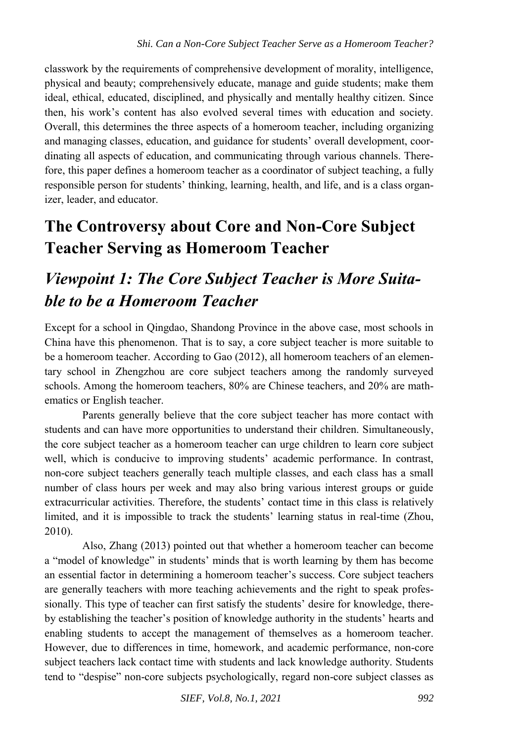classwork by the requirements of comprehensive development of morality, intelligence, physical and beauty; comprehensively educate, manage and guide students; make them ideal, ethical, educated, disciplined, and physically and mentally healthy citizen. Since then, his work's content has also evolved several times with education and society. Overall, this determines the three aspects of a homeroom teacher, including organizing and managing classes, education, and guidance for students' overall development, coordinating all aspects of education, and communicating through various channels. Therefore, this paper defines a homeroom teacher as a coordinator of subject teaching, a fully responsible person for students' thinking, learning, health, and life, and is a class organizer, leader, and educator.

# **The Controversy about Core and Non-Core Subject Teacher Serving as Homeroom Teacher**

## *Viewpoint 1: The Core Subject Teacher is More Suitable to be a Homeroom Teacher*

Except for a school in Qingdao, Shandong Province in the above case, most schools in China have this phenomenon. That is to say, a core subject teacher is more suitable to be a homeroom teacher. According to Gao (2012), all homeroom teachers of an elementary school in Zhengzhou are core subject teachers among the randomly surveyed schools. Among the homeroom teachers, 80% are Chinese teachers, and 20% are mathematics or English teacher.

Parents generally believe that the core subject teacher has more contact with students and can have more opportunities to understand their children. Simultaneously, the core subject teacher as a homeroom teacher can urge children to learn core subject well, which is conducive to improving students' academic performance. In contrast, non-core subject teachers generally teach multiple classes, and each class has a small number of class hours per week and may also bring various interest groups or guide extracurricular activities. Therefore, the students' contact time in this class is relatively limited, and it is impossible to track the students' learning status in real-time (Zhou, 2010).

Also, Zhang (2013) pointed out that whether a homeroom teacher can become a "model of knowledge" in students' minds that is worth learning by them has become an essential factor in determining a homeroom teacher's success. Core subject teachers are generally teachers with more teaching achievements and the right to speak professionally. This type of teacher can first satisfy the students' desire for knowledge, thereby establishing the teacher's position of knowledge authority in the students' hearts and enabling students to accept the management of themselves as a homeroom teacher. However, due to differences in time, homework, and academic performance, non-core subject teachers lack contact time with students and lack knowledge authority. Students tend to "despise" non-core subjects psychologically, regard non-core subject classes as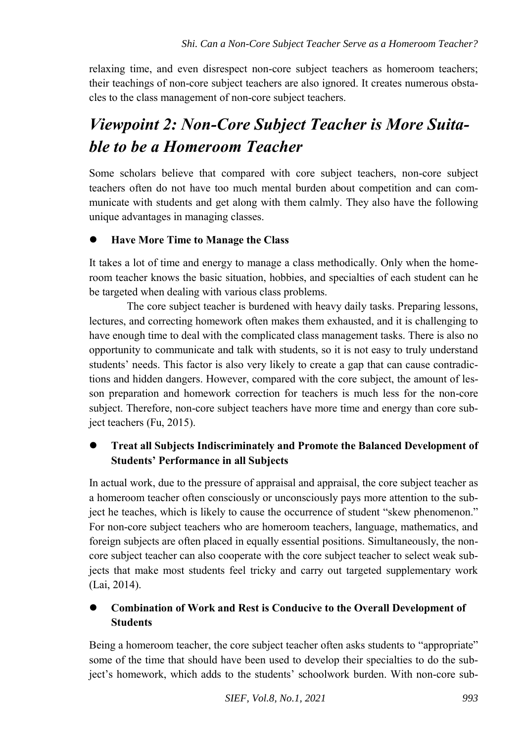relaxing time, and even disrespect non-core subject teachers as homeroom teachers; their teachings of non-core subject teachers are also ignored. It creates numerous obstacles to the class management of non-core subject teachers.

# *Viewpoint 2: Non-Core Subject Teacher is More Suitable to be a Homeroom Teacher*

Some scholars believe that compared with core subject teachers, non-core subject teachers often do not have too much mental burden about competition and can communicate with students and get along with them calmly. They also have the following unique advantages in managing classes.

#### **Have More Time to Manage the Class**

It takes a lot of time and energy to manage a class methodically. Only when the homeroom teacher knows the basic situation, hobbies, and specialties of each student can he be targeted when dealing with various class problems.

The core subject teacher is burdened with heavy daily tasks. Preparing lessons, lectures, and correcting homework often makes them exhausted, and it is challenging to have enough time to deal with the complicated class management tasks. There is also no opportunity to communicate and talk with students, so it is not easy to truly understand students' needs. This factor is also very likely to create a gap that can cause contradictions and hidden dangers. However, compared with the core subject, the amount of lesson preparation and homework correction for teachers is much less for the non-core subject. Therefore, non-core subject teachers have more time and energy than core subject teachers (Fu, 2015).

### **Treat all Subjects Indiscriminately and Promote the Balanced Development of Students' Performance in all Subjects**

In actual work, due to the pressure of appraisal and appraisal, the core subject teacher as a homeroom teacher often consciously or unconsciously pays more attention to the subject he teaches, which is likely to cause the occurrence of student "skew phenomenon." For non-core subject teachers who are homeroom teachers, language, mathematics, and foreign subjects are often placed in equally essential positions. Simultaneously, the noncore subject teacher can also cooperate with the core subject teacher to select weak subjects that make most students feel tricky and carry out targeted supplementary work (Lai, 2014).

#### **Combination of Work and Rest is Conducive to the Overall Development of Students**

Being a homeroom teacher, the core subject teacher often asks students to "appropriate" some of the time that should have been used to develop their specialties to do the subject's homework, which adds to the students' schoolwork burden. With non-core sub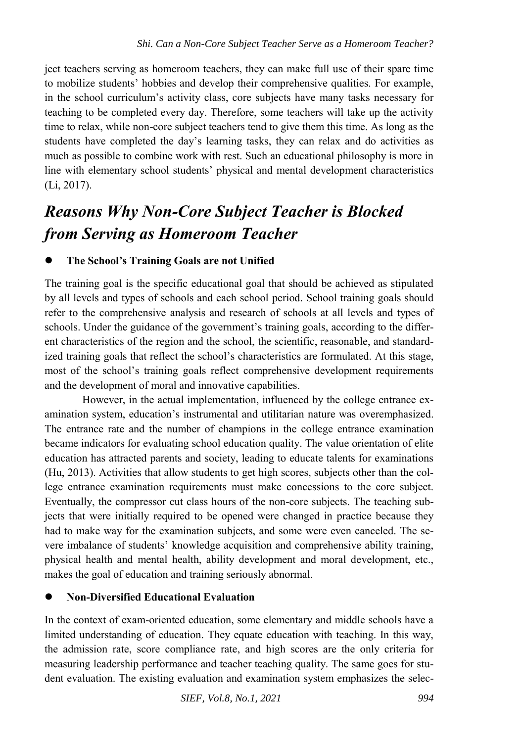ject teachers serving as homeroom teachers, they can make full use of their spare time to mobilize students' hobbies and develop their comprehensive qualities. For example, in the school curriculum's activity class, core subjects have many tasks necessary for teaching to be completed every day. Therefore, some teachers will take up the activity time to relax, while non-core subject teachers tend to give them this time. As long as the students have completed the day's learning tasks, they can relax and do activities as much as possible to combine work with rest. Such an educational philosophy is more in line with elementary school students' physical and mental development characteristics (Li, 2017).

# *Reasons Why Non-Core Subject Teacher is Blocked from Serving as Homeroom Teacher*

#### **The School's Training Goals are not Unified**

The training goal is the specific educational goal that should be achieved as stipulated by all levels and types of schools and each school period. School training goals should refer to the comprehensive analysis and research of schools at all levels and types of schools. Under the guidance of the government's training goals, according to the different characteristics of the region and the school, the scientific, reasonable, and standardized training goals that reflect the school's characteristics are formulated. At this stage, most of the school's training goals reflect comprehensive development requirements and the development of moral and innovative capabilities.

However, in the actual implementation, influenced by the college entrance examination system, education's instrumental and utilitarian nature was overemphasized. The entrance rate and the number of champions in the college entrance examination became indicators for evaluating school education quality. The value orientation of elite education has attracted parents and society, leading to educate talents for examinations (Hu, 2013). Activities that allow students to get high scores, subjects other than the college entrance examination requirements must make concessions to the core subject. Eventually, the compressor cut class hours of the non-core subjects. The teaching subjects that were initially required to be opened were changed in practice because they had to make way for the examination subjects, and some were even canceled. The severe imbalance of students' knowledge acquisition and comprehensive ability training, physical health and mental health, ability development and moral development, etc., makes the goal of education and training seriously abnormal.

### **Non-Diversified Educational Evaluation**

In the context of exam-oriented education, some elementary and middle schools have a limited understanding of education. They equate education with teaching. In this way, the admission rate, score compliance rate, and high scores are the only criteria for measuring leadership performance and teacher teaching quality. The same goes for student evaluation. The existing evaluation and examination system emphasizes the selec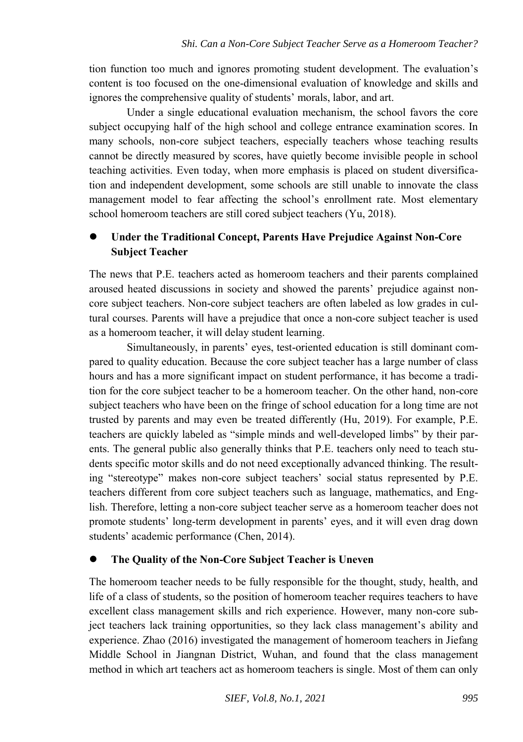tion function too much and ignores promoting student development. The evaluation's content is too focused on the one-dimensional evaluation of knowledge and skills and ignores the comprehensive quality of students' morals, labor, and art.

Under a single educational evaluation mechanism, the school favors the core subject occupying half of the high school and college entrance examination scores. In many schools, non-core subject teachers, especially teachers whose teaching results cannot be directly measured by scores, have quietly become invisible people in school teaching activities. Even today, when more emphasis is placed on student diversification and independent development, some schools are still unable to innovate the class management model to fear affecting the school's enrollment rate. Most elementary school homeroom teachers are still cored subject teachers (Yu, 2018).

#### **Under the Traditional Concept, Parents Have Prejudice Against Non-Core Subject Teacher**

The news that P.E. teachers acted as homeroom teachers and their parents complained aroused heated discussions in society and showed the parents' prejudice against noncore subject teachers. Non-core subject teachers are often labeled as low grades in cultural courses. Parents will have a prejudice that once a non-core subject teacher is used as a homeroom teacher, it will delay student learning.

Simultaneously, in parents' eyes, test-oriented education is still dominant compared to quality education. Because the core subject teacher has a large number of class hours and has a more significant impact on student performance, it has become a tradition for the core subject teacher to be a homeroom teacher. On the other hand, non-core subject teachers who have been on the fringe of school education for a long time are not trusted by parents and may even be treated differently (Hu, 2019). For example, P.E. teachers are quickly labeled as "simple minds and well-developed limbs" by their parents. The general public also generally thinks that P.E. teachers only need to teach students specific motor skills and do not need exceptionally advanced thinking. The resulting "stereotype" makes non-core subject teachers' social status represented by P.E. teachers different from core subject teachers such as language, mathematics, and English. Therefore, letting a non-core subject teacher serve as a homeroom teacher does not promote students' long-term development in parents' eyes, and it will even drag down students' academic performance (Chen, 2014).

#### **The Quality of the Non-Core Subject Teacher is Uneven**

The homeroom teacher needs to be fully responsible for the thought, study, health, and life of a class of students, so the position of homeroom teacher requires teachers to have excellent class management skills and rich experience. However, many non-core subject teachers lack training opportunities, so they lack class management's ability and experience. Zhao (2016) investigated the management of homeroom teachers in Jiefang Middle School in Jiangnan District, Wuhan, and found that the class management method in which art teachers act as homeroom teachers is single. Most of them can only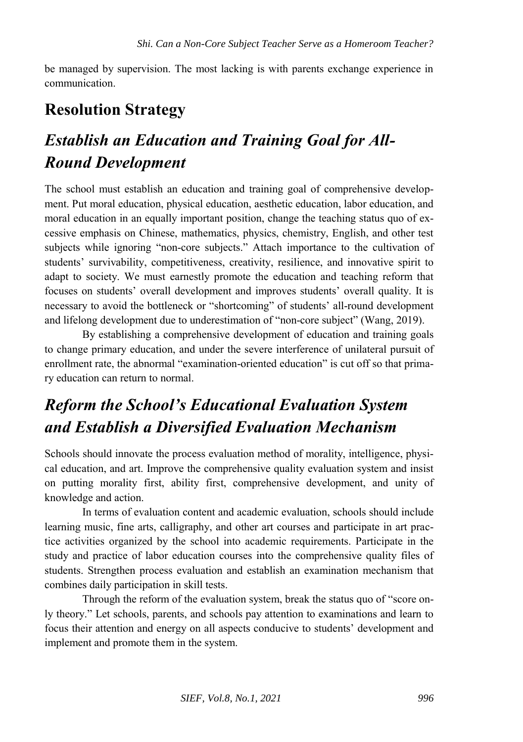be managed by supervision. The most lacking is with parents exchange experience in communication.

### **Resolution Strategy**

# *Establish an Education and Training Goal for All-Round Development*

The school must establish an education and training goal of comprehensive development. Put moral education, physical education, aesthetic education, labor education, and moral education in an equally important position, change the teaching status quo of excessive emphasis on Chinese, mathematics, physics, chemistry, English, and other test subjects while ignoring "non-core subjects." Attach importance to the cultivation of students' survivability, competitiveness, creativity, resilience, and innovative spirit to adapt to society. We must earnestly promote the education and teaching reform that focuses on students' overall development and improves students' overall quality. It is necessary to avoid the bottleneck or "shortcoming" of students' all-round development and lifelong development due to underestimation of "non-core subject" (Wang, 2019).

By establishing a comprehensive development of education and training goals to change primary education, and under the severe interference of unilateral pursuit of enrollment rate, the abnormal "examination-oriented education" is cut off so that primary education can return to normal.

# *Reform the School's Educational Evaluation System and Establish a Diversified Evaluation Mechanism*

Schools should innovate the process evaluation method of morality, intelligence, physical education, and art. Improve the comprehensive quality evaluation system and insist on putting morality first, ability first, comprehensive development, and unity of knowledge and action.

In terms of evaluation content and academic evaluation, schools should include learning music, fine arts, calligraphy, and other art courses and participate in art practice activities organized by the school into academic requirements. Participate in the study and practice of labor education courses into the comprehensive quality files of students. Strengthen process evaluation and establish an examination mechanism that combines daily participation in skill tests.

Through the reform of the evaluation system, break the status quo of "score only theory." Let schools, parents, and schools pay attention to examinations and learn to focus their attention and energy on all aspects conducive to students' development and implement and promote them in the system.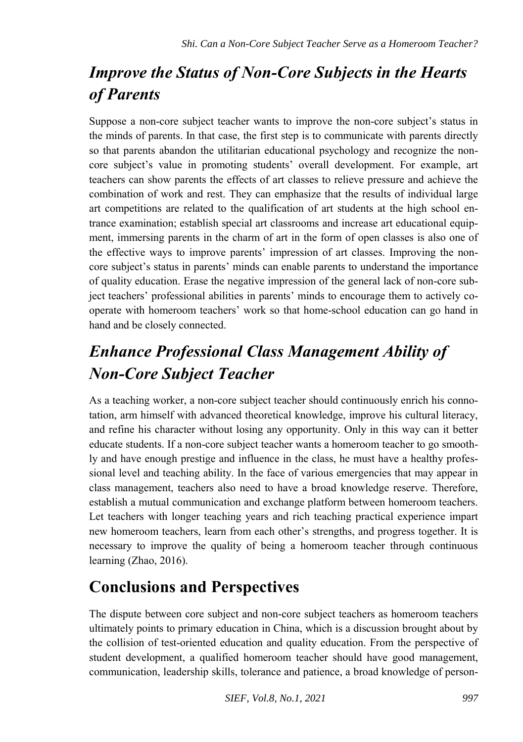# *Improve the Status of Non-Core Subjects in the Hearts of Parents*

Suppose a non-core subject teacher wants to improve the non-core subject's status in the minds of parents. In that case, the first step is to communicate with parents directly so that parents abandon the utilitarian educational psychology and recognize the noncore subject's value in promoting students' overall development. For example, art teachers can show parents the effects of art classes to relieve pressure and achieve the combination of work and rest. They can emphasize that the results of individual large art competitions are related to the qualification of art students at the high school entrance examination; establish special art classrooms and increase art educational equipment, immersing parents in the charm of art in the form of open classes is also one of the effective ways to improve parents' impression of art classes. Improving the noncore subject's status in parents' minds can enable parents to understand the importance of quality education. Erase the negative impression of the general lack of non-core subject teachers' professional abilities in parents' minds to encourage them to actively cooperate with homeroom teachers' work so that home-school education can go hand in hand and be closely connected.

# *Enhance Professional Class Management Ability of Non-Core Subject Teacher*

As a teaching worker, a non-core subject teacher should continuously enrich his connotation, arm himself with advanced theoretical knowledge, improve his cultural literacy, and refine his character without losing any opportunity. Only in this way can it better educate students. If a non-core subject teacher wants a homeroom teacher to go smoothly and have enough prestige and influence in the class, he must have a healthy professional level and teaching ability. In the face of various emergencies that may appear in class management, teachers also need to have a broad knowledge reserve. Therefore, establish a mutual communication and exchange platform between homeroom teachers. Let teachers with longer teaching years and rich teaching practical experience impart new homeroom teachers, learn from each other's strengths, and progress together. It is necessary to improve the quality of being a homeroom teacher through continuous learning (Zhao, 2016).

## **Conclusions and Perspectives**

The dispute between core subject and non-core subject teachers as homeroom teachers ultimately points to primary education in China, which is a discussion brought about by the collision of test-oriented education and quality education. From the perspective of student development, a qualified homeroom teacher should have good management, communication, leadership skills, tolerance and patience, a broad knowledge of person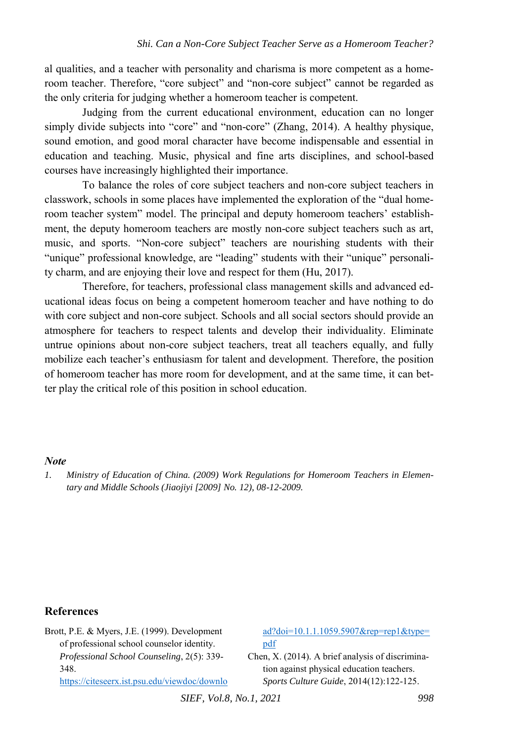al qualities, and a teacher with personality and charisma is more competent as a homeroom teacher. Therefore, "core subject" and "non-core subject" cannot be regarded as the only criteria for judging whether a homeroom teacher is competent.

Judging from the current educational environment, education can no longer simply divide subjects into "core" and "non-core" (Zhang, 2014). A healthy physique, sound emotion, and good moral character have become indispensable and essential in education and teaching. Music, physical and fine arts disciplines, and school-based courses have increasingly highlighted their importance.

To balance the roles of core subject teachers and non-core subject teachers in classwork, schools in some places have implemented the exploration of the "dual homeroom teacher system" model. The principal and deputy homeroom teachers' establishment, the deputy homeroom teachers are mostly non-core subject teachers such as art, music, and sports. "Non-core subject" teachers are nourishing students with their "unique" professional knowledge, are "leading" students with their "unique" personality charm, and are enjoying their love and respect for them (Hu, 2017).

Therefore, for teachers, professional class management skills and advanced educational ideas focus on being a competent homeroom teacher and have nothing to do with core subject and non-core subject. Schools and all social sectors should provide an atmosphere for teachers to respect talents and develop their individuality. Eliminate untrue opinions about non-core subject teachers, treat all teachers equally, and fully mobilize each teacher's enthusiasm for talent and development. Therefore, the position of homeroom teacher has more room for development, and at the same time, it can better play the critical role of this position in school education.

#### *Note*

#### **References**

| Brott, P.E. & Myers, J.E. (1999). Development     | $ad?doi=10.1.1.1059.5907&rep=rep1&type=$         |
|---------------------------------------------------|--------------------------------------------------|
| of professional school counselor identity.        | pdf                                              |
| <i>Professional School Counseling, 2(5): 339-</i> | Chen, X. (2014). A brief analysis of discrimina- |
| 348.                                              | tion against physical education teachers.        |
| https://citeseerx.ist.psu.edu/viewdoc/downlo      | Sports Culture Guide, 2014(12):122-125.          |
| $GIPF$ $U$ $10$ $M$ $1$ $2021$                    | $\Omega$                                         |

*SIEF, Vol.8, No.1, 2021* 998

<span id="page-9-0"></span>*<sup>1.</sup> Ministry of Education of China. (2009) Work Regulations for Homeroom Teachers in Elementary and Middle Schools (Jiaojiyi [2009] No. 12), 08-12-2009.*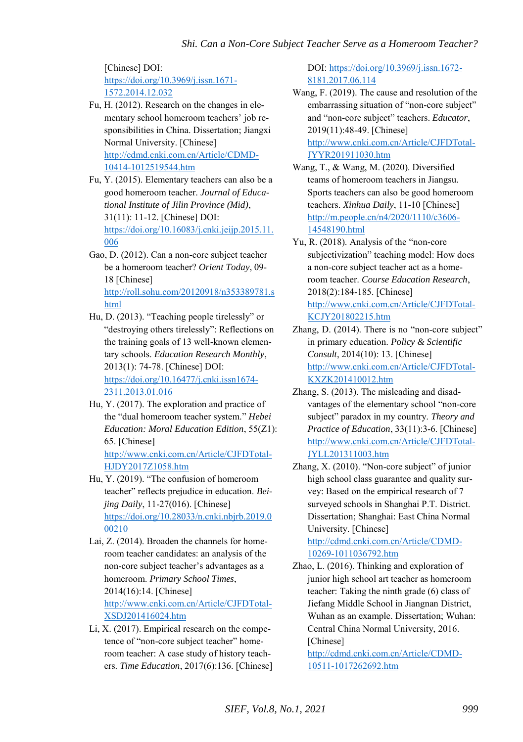[Chinese] DOI: [https://doi.org/10.3969/j.issn.1671-](https://doi.org/10.3969/j.issn.1671-1572.2014.12.032) [1572.2014.12.032](https://doi.org/10.3969/j.issn.1671-1572.2014.12.032) 

- Fu, H. (2012). Research on the changes in elementary school homeroom teachers' job responsibilities in China. Dissertation; Jiangxi Normal University. [Chinese] [http://cdmd.cnki.com.cn/Article/CDMD-](http://cdmd.cnki.com.cn/Article/CDMD-10414-1012519544.htm)[10414-1012519544.htm](http://cdmd.cnki.com.cn/Article/CDMD-10414-1012519544.htm)
- Fu, Y. (2015). Elementary teachers can also be a good homeroom teacher. *Journal of Educational Institute of Jilin Province (Mid)*, 31(11): 11-12. [Chinese] DOI: [https://doi.org/10.16083/j.cnki.jeijp.2015.11.](https://doi.org/10.16083/j.cnki.jeijp.2015.11.006) [006](https://doi.org/10.16083/j.cnki.jeijp.2015.11.006)

Gao, D. (2012). Can a non-core subject teacher be a homeroom teacher? *Orient Today*, 09- 18 [Chinese] [http://roll.sohu.com/20120918/n353389781.s](http://roll.sohu.com/20120918/n353389781.shtml) [html](http://roll.sohu.com/20120918/n353389781.shtml) 

- Hu, D. (2013). "Teaching people tirelessly" or "destroying others tirelessly": Reflections on the training goals of 13 well-known elementary schools. *Education Research Monthly*, 2013(1): 74-78. [Chinese] DOI: [https://doi.org/10.16477/j.cnki.issn1674-](https://doi.org/10.16477/j.cnki.issn1674-2311.2013.01.016) [2311.2013.01.016](https://doi.org/10.16477/j.cnki.issn1674-2311.2013.01.016)
- Hu, Y. (2017). The exploration and practice of the "dual homeroom teacher system." *Hebei Education: Moral Education Edition*, 55(Z1): 65. [Chinese] [http://www.cnki.com.cn/Article/CJFDTotal-](http://www.cnki.com.cn/Article/CJFDTotal-HJDY2017Z1058.htm)[HJDY2017Z1058.htm](http://www.cnki.com.cn/Article/CJFDTotal-HJDY2017Z1058.htm)
- Hu, Y. (2019). "The confusion of homeroom teacher" reflects prejudice in education. *Beijing Daily*, 11-27(016). [Chinese] [https://doi.org/10.28033/n.cnki.nbjrb.2019.0](https://doi.org/10.28033/n.cnki.nbjrb.2019.000210) [00210](https://doi.org/10.28033/n.cnki.nbjrb.2019.000210)
- Lai, Z. (2014). Broaden the channels for homeroom teacher candidates: an analysis of the non-core subject teacher's advantages as a homeroom. *Primary School Times*, 2014(16):14. [Chinese] [http://www.cnki.com.cn/Article/CJFDTotal-](http://www.cnki.com.cn/Article/CJFDTotal-XSDJ201416024.htm)[XSDJ201416024.htm](http://www.cnki.com.cn/Article/CJFDTotal-XSDJ201416024.htm)
- Li, X. (2017). Empirical research on the competence of "non-core subject teacher" homeroom teacher: A case study of history teachers. *Time Education*, 2017(6):136. [Chinese]

DOI[: https://doi.org/10.3969/j.issn.1672-](https://doi.org/10.3969/j.issn.1672-8181.2017.06.114) [8181.2017.06.114](https://doi.org/10.3969/j.issn.1672-8181.2017.06.114) 

Wang, F. (2019). The cause and resolution of the embarrassing situation of "non-core subject" and "non-core subject" teachers. *Educator*, 2019(11):48-49. [Chinese] [http://www.cnki.com.cn/Article/CJFDTotal-](http://www.cnki.com.cn/Article/CJFDTotal-JYYR201911030.htm)[JYYR201911030.htm](http://www.cnki.com.cn/Article/CJFDTotal-JYYR201911030.htm) 

- Wang, T., & Wang, M. (2020). Diversified teams of homeroom teachers in Jiangsu. Sports teachers can also be good homeroom teachers. *Xinhua Daily*, 11-10 [Chinese] [http://m.people.cn/n4/2020/1110/c3606-](http://m.people.cn/n4/2020/1110/c3606-14548190.html) [14548190.html](http://m.people.cn/n4/2020/1110/c3606-14548190.html)
- Yu, R. (2018). Analysis of the "non-core subjectivization" teaching model: How does a non-core subject teacher act as a homeroom teacher. *Course Education Research*, 2018(2):184-185. [Chinese] [http://www.cnki.com.cn/Article/CJFDTotal-](http://www.cnki.com.cn/Article/CJFDTotal-KCJY201802215.htm)[KCJY201802215.htm](http://www.cnki.com.cn/Article/CJFDTotal-KCJY201802215.htm)
- Zhang, D. (2014). There is no "non-core subject" in primary education. *Policy & Scientific Consult*, 2014(10): 13. [Chinese] [http://www.cnki.com.cn/Article/CJFDTotal-](http://www.cnki.com.cn/Article/CJFDTotal-KXZK201410012.htm)[KXZK201410012.htm](http://www.cnki.com.cn/Article/CJFDTotal-KXZK201410012.htm)
- Zhang, S. (2013). The misleading and disadvantages of the elementary school "non-core subject" paradox in my country. *Theory and Practice of Education*, 33(11):3-6. [Chinese] [http://www.cnki.com.cn/Article/CJFDTotal-](http://www.cnki.com.cn/Article/CJFDTotal-JYLL201311003.htm)[JYLL201311003.htm](http://www.cnki.com.cn/Article/CJFDTotal-JYLL201311003.htm)
- Zhang, X. (2010). "Non-core subject" of junior high school class guarantee and quality survey: Based on the empirical research of 7 surveyed schools in Shanghai P.T. District. Dissertation; Shanghai: East China Normal University. [Chinese]

[http://cdmd.cnki.com.cn/Article/CDMD-](http://cdmd.cnki.com.cn/Article/CDMD-10269-1011036792.htm)[10269-1011036792.htm](http://cdmd.cnki.com.cn/Article/CDMD-10269-1011036792.htm) 

Zhao, L. (2016). Thinking and exploration of junior high school art teacher as homeroom teacher: Taking the ninth grade (6) class of Jiefang Middle School in Jiangnan District, Wuhan as an example. Dissertation; Wuhan: Central China Normal University, 2016. [Chinese]

[http://cdmd.cnki.com.cn/Article/CDMD-](http://cdmd.cnki.com.cn/Article/CDMD-10511-1017262692.htm)[10511-1017262692.htm](http://cdmd.cnki.com.cn/Article/CDMD-10511-1017262692.htm)